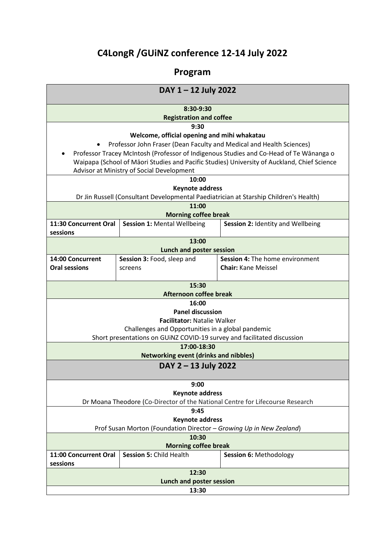# **C4LongR /GUiNZ conference 12-14 July 2022**

## **Program**

| DAY 1 - 12 July 2022                                                                                                                     |                                    |                                   |
|------------------------------------------------------------------------------------------------------------------------------------------|------------------------------------|-----------------------------------|
| 8:30-9:30                                                                                                                                |                                    |                                   |
| <b>Registration and coffee</b>                                                                                                           |                                    |                                   |
| 9:30                                                                                                                                     |                                    |                                   |
| Welcome, official opening and mihi whakatau                                                                                              |                                    |                                   |
| Professor John Fraser (Dean Faculty and Medical and Health Sciences)                                                                     |                                    |                                   |
| Professor Tracey McIntosh (Professor of Indigenous Studies and Co-Head of Te Wānanga o                                                   |                                    |                                   |
| Waipapa (School of Māori Studies and Pacific Studies) University of Auckland, Chief Science<br>Advisor at Ministry of Social Development |                                    |                                   |
| 10:00                                                                                                                                    |                                    |                                   |
| <b>Keynote address</b>                                                                                                                   |                                    |                                   |
| Dr Jin Russell (Consultant Developmental Paediatrician at Starship Children's Health)                                                    |                                    |                                   |
| 11:00                                                                                                                                    |                                    |                                   |
| <b>Morning coffee break</b>                                                                                                              |                                    |                                   |
| 11:30 Concurrent Oral                                                                                                                    | <b>Session 1: Mental Wellbeing</b> | Session 2: Identity and Wellbeing |
| sessions                                                                                                                                 |                                    |                                   |
| 13:00                                                                                                                                    |                                    |                                   |
| Lunch and poster session                                                                                                                 |                                    |                                   |
| 14:00 Concurrent                                                                                                                         | Session 3: Food, sleep and         | Session 4: The home environment   |
| <b>Oral sessions</b>                                                                                                                     | screens                            | <b>Chair: Kane Meissel</b>        |
|                                                                                                                                          |                                    |                                   |
| 15:30                                                                                                                                    |                                    |                                   |
| <b>Afternoon coffee break</b>                                                                                                            |                                    |                                   |
| 16:00                                                                                                                                    |                                    |                                   |
| <b>Panel discussion</b>                                                                                                                  |                                    |                                   |
| <b>Facilitator: Natalie Walker</b>                                                                                                       |                                    |                                   |
| Challenges and Opportunities in a global pandemic<br>Short presentations on GUINZ COVID-19 survey and facilitated discussion             |                                    |                                   |
| 17:00-18:30                                                                                                                              |                                    |                                   |
| <b>Networking event (drinks and nibbles)</b>                                                                                             |                                    |                                   |
| DAY 2 - 13 July 2022                                                                                                                     |                                    |                                   |
|                                                                                                                                          |                                    |                                   |
| 9:00                                                                                                                                     |                                    |                                   |
| <b>Keynote address</b>                                                                                                                   |                                    |                                   |
| Dr Moana Theodore (Co-Director of the National Centre for Lifecourse Research                                                            |                                    |                                   |
| 9:45                                                                                                                                     |                                    |                                   |
| <b>Keynote address</b>                                                                                                                   |                                    |                                   |
| Prof Susan Morton (Foundation Director - Growing Up in New Zealand)                                                                      |                                    |                                   |
| 10:30                                                                                                                                    |                                    |                                   |
| <b>Morning coffee break</b>                                                                                                              |                                    |                                   |
| 11:00 Concurrent Oral                                                                                                                    | Session 5: Child Health            | Session 6: Methodology            |
| sessions                                                                                                                                 |                                    |                                   |
| 12:30                                                                                                                                    |                                    |                                   |
| <b>Lunch and poster session</b>                                                                                                          |                                    |                                   |
| 13:30                                                                                                                                    |                                    |                                   |